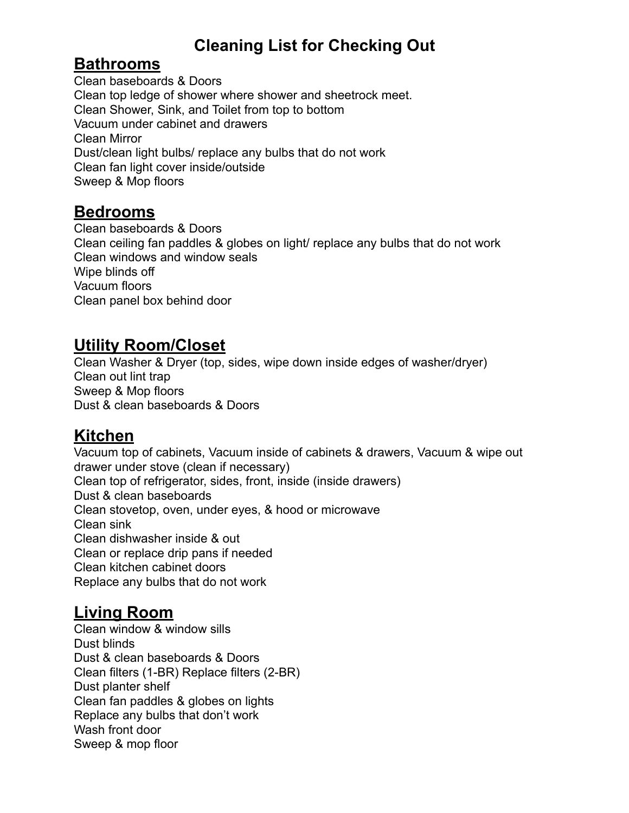# **Cleaning List for Checking Out**

#### **Bathrooms**

Clean baseboards & Doors Clean top ledge of shower where shower and sheetrock meet. Clean Shower, Sink, and Toilet from top to bottom Vacuum under cabinet and drawers Clean Mirror Dust/clean light bulbs/ replace any bulbs that do not work Clean fan light cover inside/outside Sweep & Mop floors

#### **Bedrooms**

Clean baseboards & Doors Clean ceiling fan paddles & globes on light/ replace any bulbs that do not work Clean windows and window seals Wipe blinds off Vacuum floors Clean panel box behind door

#### **Utility Room/Closet**

Clean Washer & Dryer (top, sides, wipe down inside edges of washer/dryer) Clean out lint trap Sweep & Mop floors Dust & clean baseboards & Doors

## **Kitchen**

Vacuum top of cabinets, Vacuum inside of cabinets & drawers, Vacuum & wipe out drawer under stove (clean if necessary) Clean top of refrigerator, sides, front, inside (inside drawers) Dust & clean baseboards Clean stovetop, oven, under eyes, & hood or microwave Clean sink Clean dishwasher inside & out Clean or replace drip pans if needed Clean kitchen cabinet doors Replace any bulbs that do not work

## **Living Room**

Clean window & window sills Dust blinds Dust & clean baseboards & Doors Clean filters (1-BR) Replace filters (2-BR) Dust planter shelf Clean fan paddles & globes on lights Replace any bulbs that don't work Wash front door Sweep & mop floor